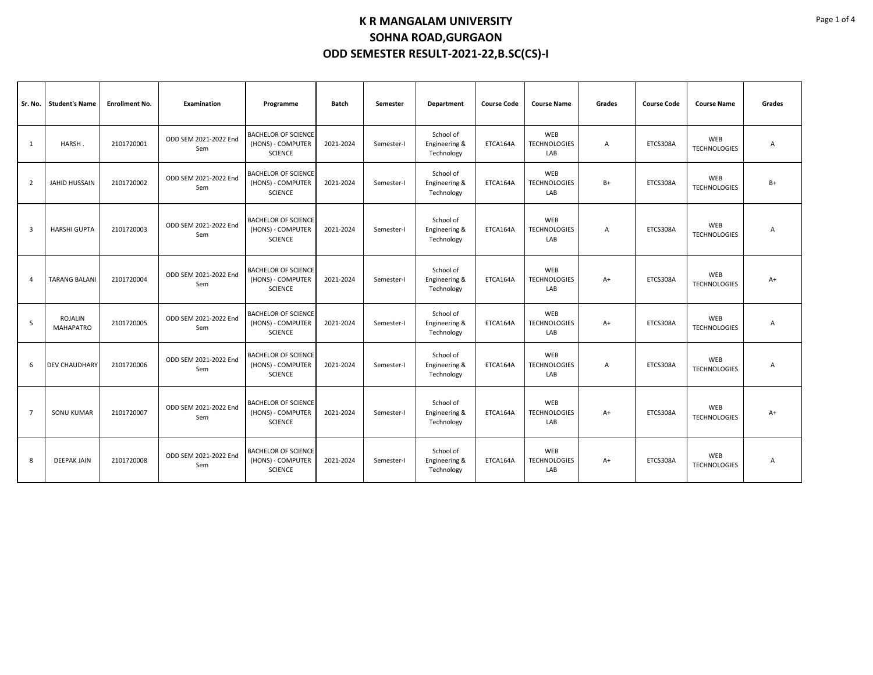| Sr. No.        | <b>Student's Name</b>              | <b>Enrollment No.</b> | <b>Examination</b>           | Programme                                                         | Batch     | Semester   | Department                               | <b>Course Code</b> | <b>Course Name</b>                | Grades | <b>Course Code</b> | <b>Course Name</b>         | Grades |
|----------------|------------------------------------|-----------------------|------------------------------|-------------------------------------------------------------------|-----------|------------|------------------------------------------|--------------------|-----------------------------------|--------|--------------------|----------------------------|--------|
| 1              | HARSH.                             | 2101720001            | ODD SEM 2021-2022 End<br>Sem | <b>BACHELOR OF SCIENCE</b><br>(HONS) - COMPUTER<br><b>SCIENCE</b> | 2021-2024 | Semester-I | School of<br>Engineering &<br>Technology | ETCA164A           | WEB<br><b>TECHNOLOGIES</b><br>LAB | Α      | ETCS308A           | WEB<br><b>TECHNOLOGIES</b> | Α      |
| $\overline{2}$ | JAHID HUSSAIN                      | 2101720002            | ODD SEM 2021-2022 End<br>Sem | <b>BACHELOR OF SCIENCE</b><br>(HONS) - COMPUTER<br><b>SCIENCE</b> | 2021-2024 | Semester-I | School of<br>Engineering &<br>Technology | ETCA164A           | WEB<br><b>TECHNOLOGIES</b><br>LAB | B+     | ETCS308A           | WEB<br><b>TECHNOLOGIES</b> | B+     |
| 3              | <b>HARSHI GUPTA</b>                | 2101720003            | ODD SEM 2021-2022 End<br>Sem | <b>BACHELOR OF SCIENCE</b><br>(HONS) - COMPUTER<br><b>SCIENCE</b> | 2021-2024 | Semester-I | School of<br>Engineering &<br>Technology | ETCA164A           | WEB<br><b>TECHNOLOGIES</b><br>LAB | A      | ETCS308A           | WEB<br><b>TECHNOLOGIES</b> | Α      |
| $\overline{a}$ | <b>TARANG BALANI</b>               | 2101720004            | ODD SEM 2021-2022 End<br>Sem | <b>BACHELOR OF SCIENCE</b><br>(HONS) - COMPUTER<br><b>SCIENCE</b> | 2021-2024 | Semester-I | School of<br>Engineering &<br>Technology | ETCA164A           | WEB<br><b>TECHNOLOGIES</b><br>LAB | $A+$   | ETCS308A           | WEB<br><b>TECHNOLOGIES</b> | $A+$   |
| 5              | <b>ROJALIN</b><br><b>MAHAPATRO</b> | 2101720005            | ODD SEM 2021-2022 End<br>Sem | <b>BACHELOR OF SCIENCE</b><br>(HONS) - COMPUTER<br><b>SCIENCE</b> | 2021-2024 | Semester-I | School of<br>Engineering &<br>Technology | ETCA164A           | WEB<br><b>TECHNOLOGIES</b><br>LAB | $A+$   | ETCS308A           | WEB<br><b>TECHNOLOGIES</b> | Α      |
| 6              | <b>DEV CHAUDHARY</b>               | 2101720006            | ODD SEM 2021-2022 End<br>Sem | <b>BACHELOR OF SCIENCE</b><br>(HONS) - COMPUTER<br><b>SCIENCE</b> | 2021-2024 | Semester-I | School of<br>Engineering &<br>Technology | ETCA164A           | WEB<br><b>TECHNOLOGIES</b><br>LAB | A      | ETCS308A           | WEB<br><b>TECHNOLOGIES</b> | Α      |
| $\overline{7}$ | <b>SONU KUMAR</b>                  | 2101720007            | ODD SEM 2021-2022 End<br>Sem | <b>BACHELOR OF SCIENCE</b><br>(HONS) - COMPUTER<br><b>SCIENCE</b> | 2021-2024 | Semester-I | School of<br>Engineering &<br>Technology | ETCA164A           | WEB<br><b>TECHNOLOGIES</b><br>LAB | $A+$   | ETCS308A           | WEB<br><b>TECHNOLOGIES</b> | $A+$   |
| 8              | <b>DEEPAK JAIN</b>                 | 2101720008            | ODD SEM 2021-2022 End<br>Sem | <b>BACHELOR OF SCIENCE</b><br>(HONS) - COMPUTER<br><b>SCIENCE</b> | 2021-2024 | Semester-I | School of<br>Engineering &<br>Technology | ETCA164A           | WEB<br><b>TECHNOLOGIES</b><br>LAB | $A+$   | ETCS308A           | WEB<br><b>TECHNOLOGIES</b> | A      |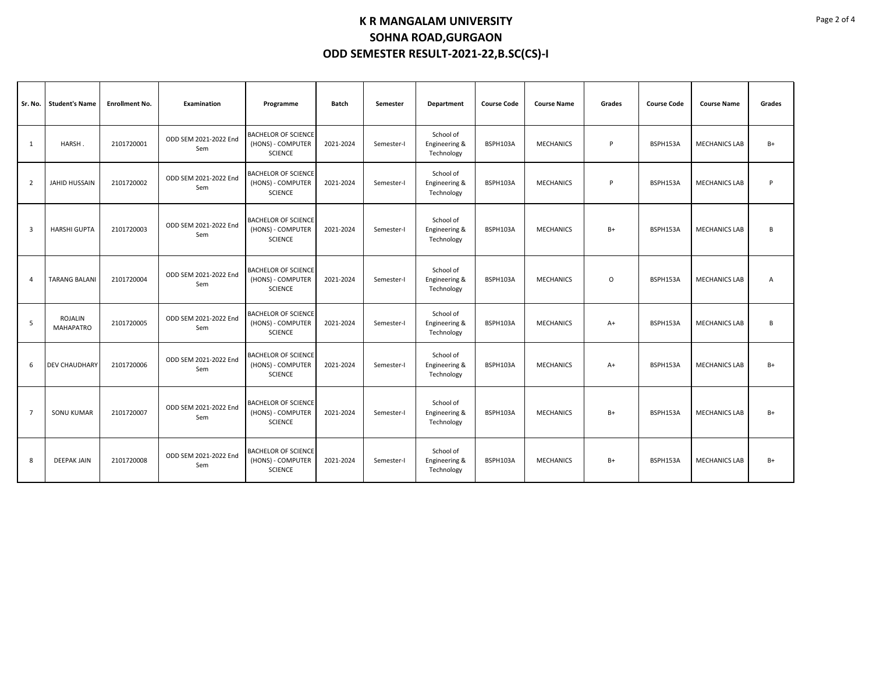| Sr. No.        | <b>Student's Name</b>       | <b>Enrollment No.</b> | <b>Examination</b>           | Programme                                                         | Batch     | Semester   | Department                               | <b>Course Code</b> | <b>Course Name</b> | Grades   | <b>Course Code</b> | <b>Course Name</b>   | Grades |
|----------------|-----------------------------|-----------------------|------------------------------|-------------------------------------------------------------------|-----------|------------|------------------------------------------|--------------------|--------------------|----------|--------------------|----------------------|--------|
| 1              | HARSH.                      | 2101720001            | ODD SEM 2021-2022 End<br>Sem | <b>BACHELOR OF SCIENCE</b><br>(HONS) - COMPUTER<br><b>SCIENCE</b> | 2021-2024 | Semester-I | School of<br>Engineering &<br>Technology | BSPH103A           | <b>MECHANICS</b>   | P        | BSPH153A           | <b>MECHANICS LAB</b> | $B+$   |
| $\overline{2}$ | <b>JAHID HUSSAIN</b>        | 2101720002            | ODD SEM 2021-2022 End<br>Sem | <b>BACHELOR OF SCIENCE</b><br>(HONS) - COMPUTER<br><b>SCIENCE</b> | 2021-2024 | Semester-I | School of<br>Engineering &<br>Technology | BSPH103A           | <b>MECHANICS</b>   | P        | BSPH153A           | <b>MECHANICS LAB</b> | P      |
| 3              | <b>HARSHI GUPTA</b>         | 2101720003            | ODD SEM 2021-2022 End<br>Sem | <b>BACHELOR OF SCIENCE</b><br>(HONS) - COMPUTER<br><b>SCIENCE</b> | 2021-2024 | Semester-I | School of<br>Engineering &<br>Technology | BSPH103A           | <b>MECHANICS</b>   | $B+$     | BSPH153A           | <b>MECHANICS LAB</b> | B      |
| $\Delta$       | <b>TARANG BALANI</b>        | 2101720004            | ODD SEM 2021-2022 End<br>Sem | <b>BACHELOR OF SCIENCE</b><br>(HONS) - COMPUTER<br><b>SCIENCE</b> | 2021-2024 | Semester-I | School of<br>Engineering &<br>Technology | BSPH103A           | <b>MECHANICS</b>   | $\Omega$ | BSPH153A           | <b>MECHANICS LAB</b> | А      |
| 5              | ROJALIN<br><b>MAHAPATRO</b> | 2101720005            | ODD SEM 2021-2022 End<br>Sem | <b>BACHELOR OF SCIENCE</b><br>(HONS) - COMPUTER<br><b>SCIENCE</b> | 2021-2024 | Semester-I | School of<br>Engineering &<br>Technology | BSPH103A           | <b>MECHANICS</b>   | $A+$     | BSPH153A           | <b>MECHANICS LAB</b> | B      |
| 6              | DEV CHAUDHARY               | 2101720006            | ODD SEM 2021-2022 End<br>Sem | <b>BACHELOR OF SCIENCE</b><br>(HONS) - COMPUTER<br><b>SCIENCE</b> | 2021-2024 | Semester-I | School of<br>Engineering &<br>Technology | BSPH103A           | <b>MECHANICS</b>   | $A+$     | BSPH153A           | <b>MECHANICS LAB</b> | $B+$   |
| $\overline{7}$ | <b>SONU KUMAR</b>           | 2101720007            | ODD SEM 2021-2022 End<br>Sem | <b>BACHELOR OF SCIENCE</b><br>(HONS) - COMPUTER<br><b>SCIENCE</b> | 2021-2024 | Semester-I | School of<br>Engineering &<br>Technology | BSPH103A           | <b>MECHANICS</b>   | $B+$     | BSPH153A           | <b>MECHANICS LAB</b> | $B+$   |
| 8              | <b>DEEPAK JAIN</b>          | 2101720008            | ODD SEM 2021-2022 End<br>Sem | <b>BACHELOR OF SCIENCE</b><br>(HONS) - COMPUTER<br><b>SCIENCE</b> | 2021-2024 | Semester-I | School of<br>Engineering &<br>Technology | BSPH103A           | <b>MECHANICS</b>   | $B+$     | BSPH153A           | <b>MECHANICS LAB</b> | $B+$   |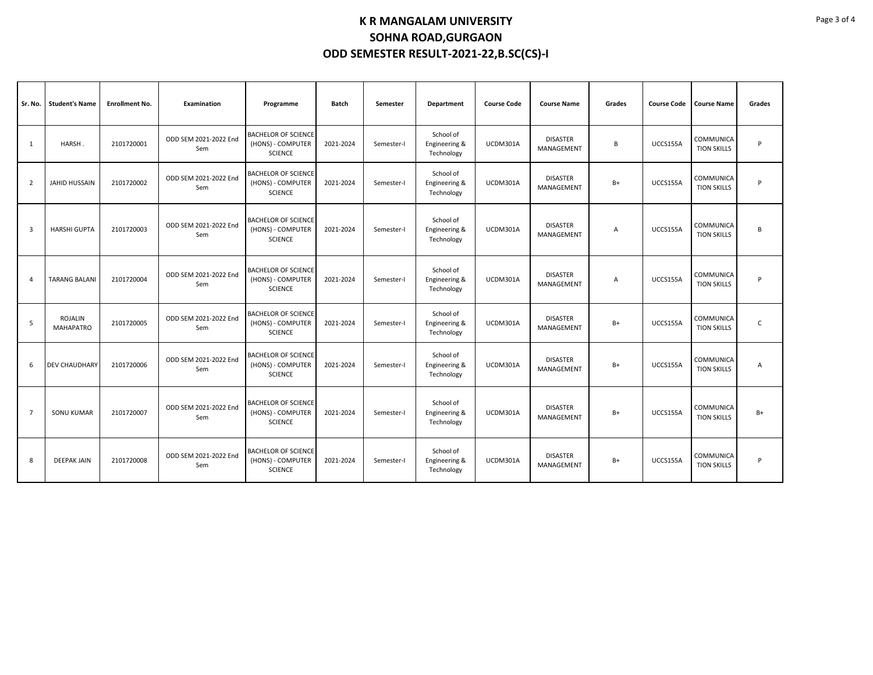| Sr. No.        | <b>Student's Name</b>       | <b>Enrollment No.</b> | <b>Examination</b>           | Programme                                                         | Batch     | Semester   | Department                               | <b>Course Code</b> | <b>Course Name</b>            | Grades | <b>Course Code</b> | <b>Course Name</b>              | Grades       |
|----------------|-----------------------------|-----------------------|------------------------------|-------------------------------------------------------------------|-----------|------------|------------------------------------------|--------------------|-------------------------------|--------|--------------------|---------------------------------|--------------|
| 1              | HARSH.                      | 2101720001            | ODD SEM 2021-2022 End<br>Sem | <b>BACHELOR OF SCIENCE</b><br>(HONS) - COMPUTER<br><b>SCIENCE</b> | 2021-2024 | Semester-I | School of<br>Engineering &<br>Technology | UCDM301A           | <b>DISASTER</b><br>MANAGEMENT | В      | UCCS155A           | COMMUNICA<br><b>TION SKILLS</b> | P            |
| $\overline{2}$ | <b>JAHID HUSSAIN</b>        | 2101720002            | ODD SEM 2021-2022 End<br>Sem | <b>BACHELOR OF SCIENCE</b><br>(HONS) - COMPUTER<br><b>SCIENCE</b> | 2021-2024 | Semester-I | School of<br>Engineering &<br>Technology | UCDM301A           | <b>DISASTER</b><br>MANAGEMENT | $B+$   | UCCS155A           | COMMUNICA<br><b>TION SKILLS</b> | P            |
| 3              | <b>HARSHI GUPTA</b>         | 2101720003            | ODD SEM 2021-2022 End<br>Sem | <b>BACHELOR OF SCIENCE</b><br>(HONS) - COMPUTER<br><b>SCIENCE</b> | 2021-2024 | Semester-I | School of<br>Engineering &<br>Technology | UCDM301A           | <b>DISASTER</b><br>MANAGEMENT | А      | UCCS155A           | COMMUNICA<br><b>TION SKILLS</b> | B            |
| $\overline{A}$ | <b>TARANG BALANI</b>        | 2101720004            | ODD SEM 2021-2022 End<br>Sem | <b>BACHELOR OF SCIENCE</b><br>(HONS) - COMPUTER<br><b>SCIENCE</b> | 2021-2024 | Semester-I | School of<br>Engineering &<br>Technology | UCDM301A           | <b>DISASTER</b><br>MANAGEMENT | А      | UCCS155A           | COMMUNICA<br><b>TION SKILLS</b> | P            |
| 5              | ROJALIN<br><b>MAHAPATRO</b> | 2101720005            | ODD SEM 2021-2022 End<br>Sem | <b>BACHELOR OF SCIENCE</b><br>(HONS) - COMPUTER<br><b>SCIENCE</b> | 2021-2024 | Semester-I | School of<br>Engineering &<br>Technology | UCDM301A           | <b>DISASTER</b><br>MANAGEMENT | $B+$   | UCCS155A           | COMMUNICA<br><b>TION SKILLS</b> | $\mathsf{C}$ |
| -6             | <b>DEV CHAUDHARY</b>        | 2101720006            | ODD SEM 2021-2022 End<br>Sem | <b>BACHELOR OF SCIENCE</b><br>(HONS) - COMPUTER<br><b>SCIENCE</b> | 2021-2024 | Semester-I | School of<br>Engineering &<br>Technology | UCDM301A           | <b>DISASTER</b><br>MANAGEMENT | $B+$   | UCCS155A           | COMMUNICA<br><b>TION SKILLS</b> | Α            |
| $\overline{7}$ | <b>SONU KUMAR</b>           | 2101720007            | ODD SEM 2021-2022 End<br>Sem | <b>BACHELOR OF SCIENCE</b><br>(HONS) - COMPUTER<br><b>SCIENCE</b> | 2021-2024 | Semester-I | School of<br>Engineering &<br>Technology | UCDM301A           | <b>DISASTER</b><br>MANAGEMENT | $B+$   | UCCS155A           | COMMUNICA<br><b>TION SKILLS</b> | $B+$         |
| 8              | <b>DEEPAK JAIN</b>          | 2101720008            | ODD SEM 2021-2022 End<br>Sem | <b>BACHELOR OF SCIENCE</b><br>(HONS) - COMPUTER<br>SCIENCE        | 2021-2024 | Semester-I | School of<br>Engineering &<br>Technology | UCDM301A           | <b>DISASTER</b><br>MANAGEMENT | $B+$   | UCCS155A           | COMMUNICA<br><b>TION SKILLS</b> | P            |